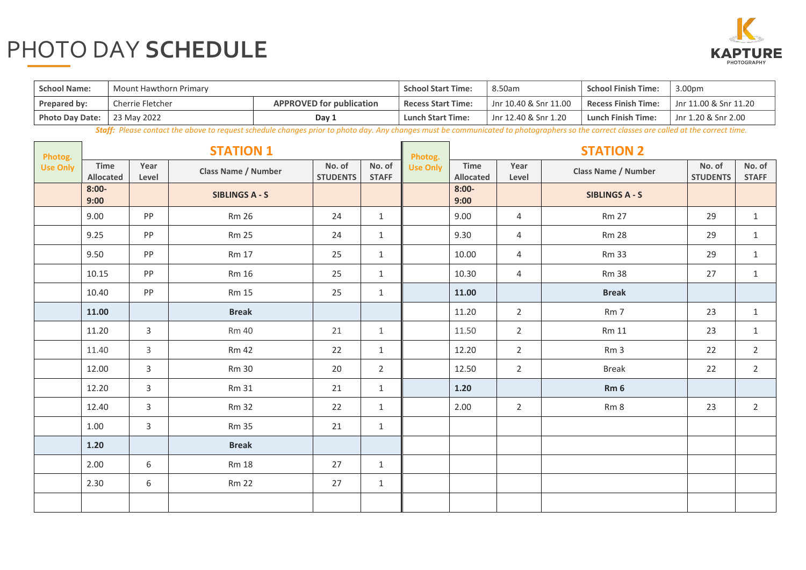## PHOTO DAY **SCHEDULE**



| <b>School Name:</b>    | Mount Hawthorn Primary                              | <b>School Start Time:</b> | 8.50am                    | <b>School Finish Time:</b> | 3.00pm                                              |                     |  |
|------------------------|-----------------------------------------------------|---------------------------|---------------------------|----------------------------|-----------------------------------------------------|---------------------|--|
| Prepared by:           | <b>APPROVED for publication</b><br>Cherrie Fletcher |                           | <b>Recess Start Time:</b> | Jnr 10.40 & Snr 11.00      | <b>Recess Finish Time:</b><br>Jnr 11.00 & Snr 11.20 |                     |  |
| <b>Photo Day Date:</b> | 23 May 2022                                         | Day 1                     | <b>Lunch Start Time:</b>  | Jnr 12.40 & Snr 1.20       | <b>Lunch Finish Time:</b>                           | Jnr 1.20 & Snr 2.00 |  |

 *Staff: Please contact the above to request schedule changes prior to photo day. Any changes must be communicated to photographers so the correct classes are called at the correct time.* 

| Photog.         | <b>STATION 1</b>  |                |                            |                           |                        | Photog.         | <b>STATION 2</b>  |                |                            |                           |                        |  |
|-----------------|-------------------|----------------|----------------------------|---------------------------|------------------------|-----------------|-------------------|----------------|----------------------------|---------------------------|------------------------|--|
| <b>Use Only</b> | Time<br>Allocated | Year<br>Level  | <b>Class Name / Number</b> | No. of<br><b>STUDENTS</b> | No. of<br><b>STAFF</b> | <b>Use Only</b> | Time<br>Allocated | Year<br>Level  | <b>Class Name / Number</b> | No. of<br><b>STUDENTS</b> | No. of<br><b>STAFF</b> |  |
|                 | $8:00-$<br>9:00   |                | <b>SIBLINGS A - S</b>      |                           |                        |                 | $8:00-$<br>9:00   |                | <b>SIBLINGS A - S</b>      |                           |                        |  |
|                 | 9.00              | PP             | <b>Rm 26</b>               | 24                        | $\mathbf{1}$           |                 | 9.00              | 4              | <b>Rm 27</b>               | 29                        | $\mathbf{1}$           |  |
|                 | 9.25              | PP             | <b>Rm 25</b>               | 24                        | $\mathbf{1}$           |                 | 9.30              | $\overline{4}$ | <b>Rm 28</b>               | 29                        | $\mathbf{1}$           |  |
|                 | 9.50              | PP             | <b>Rm 17</b>               | 25                        | $\mathbf{1}$           |                 | 10.00             | 4              | <b>Rm 33</b>               | 29                        | $\mathbf{1}$           |  |
|                 | 10.15             | PP             | <b>Rm 16</b>               | 25                        | $\mathbf{1}$           |                 | 10.30             | 4              | <b>Rm 38</b>               | 27                        | $\mathbf{1}$           |  |
|                 | 10.40             | PP             | <b>Rm 15</b>               | 25                        | $\mathbf{1}$           |                 | 11.00             |                | <b>Break</b>               |                           |                        |  |
|                 | 11.00             |                | <b>Break</b>               |                           |                        |                 | 11.20             | $2^{\circ}$    | Rm 7                       | 23                        | $\mathbf{1}$           |  |
|                 | 11.20             | $\overline{3}$ | <b>Rm 40</b>               | 21                        | $\mathbf{1}$           |                 | 11.50             | $2^{\circ}$    | <b>Rm 11</b>               | 23                        | $\mathbf{1}$           |  |
|                 | 11.40             | $\mathsf{3}$   | <b>Rm 42</b>               | 22                        | $\mathbf{1}$           |                 | 12.20             | $2^{\circ}$    | Rm <sub>3</sub>            | 22                        | $\overline{2}$         |  |
|                 | 12.00             | 3              | <b>Rm 30</b>               | 20                        | $\overline{2}$         |                 | 12.50             | $2^{\circ}$    | <b>Break</b>               | 22                        | $\overline{2}$         |  |
|                 | 12.20             | $\mathsf{3}$   | <b>Rm 31</b>               | 21                        | $\mathbf{1}$           |                 | $1.20$            |                | Rm <sub>6</sub>            |                           |                        |  |
|                 | 12.40             | $\mathsf{3}$   | <b>Rm 32</b>               | 22                        | $\mathbf{1}$           |                 | 2.00              | $\overline{2}$ | Rm 8                       | 23                        | $\overline{2}$         |  |
|                 | 1.00              | 3              | <b>Rm 35</b>               | 21                        | $\mathbf{1}$           |                 |                   |                |                            |                           |                        |  |
|                 | $1.20$            |                | <b>Break</b>               |                           |                        |                 |                   |                |                            |                           |                        |  |
|                 | 2.00              | 6              | <b>Rm 18</b>               | 27                        | $\mathbf{1}$           |                 |                   |                |                            |                           |                        |  |
|                 | 2.30              | 6              | <b>Rm 22</b>               | 27                        | $\mathbf{1}$           |                 |                   |                |                            |                           |                        |  |
|                 |                   |                |                            |                           |                        |                 |                   |                |                            |                           |                        |  |